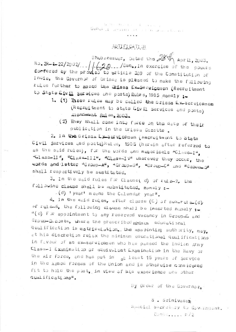$\{0,\epsilon\}$  or  $\mathbb{R}^+$  of  $\mathbb{R}^+$ General against contract last

## NOTIFICATION

Bhubeneswer, Deted the  $28\%$  April, 2003.  $N = 2R - 122/2002/11/(20.11)$  Sen., In exercise of the powers forfered by the proviso to article 309 of the Constitution of India, the Governor of Orisas is pleased to make the following rules further to amend the Drissa Ex-Secuigemen (Recruitment to State Civil services and posts) Bules, 1985 namely :-

- 1. (1) These rules may be called the first Ex-Servicemen (Recruitment to State Civil Services and posts) mendment Rules, 2003.
	- (2) They shall came into force on the date of their publication in the Orissa Gazette.

2. In the Drissa Exact vicemen (Recruitment to State Civil services and posts) Rules, 1985 (herein after referred to as the said rules), for the words and numericals "Class-I". "Class-II", "Class-III", "Class-IV" wherever they occur, the words and letter "Group-A", "Group-8", "Group-C" and "Group-Q" shall respectively be sustituted.

3. In the said rules for Clause(d) of rule-2. the fullowing clause shall be substituted, namely :-

-(d) 'year' means the Calendar year".

 $4.$  In the said  $rule_{f}$  after clause (C) of sub-rule-(d). of rule-6. the following clause shall be inserted namely :-"(d) For appointment to any reserved vacancy in Group-C and Group-D.psta, where the prescribed minimum educational qualification is matriculation. the appointing authority, may, at his discretion relax the minimum educational qualifications in favour of an ex-servicemen who has passed the Indian Army Class-I Examination or eQuivalent Examination in the Navy or the Air Force, and has put in at least 15 years of Service in the Armed Forces of the Union and is otherwise considered fit to hold the post, in view of his experience and other qualifications".

By Order of the Governor.

S. Srinivasan

Special Secretary to Government. Conte..... p/2